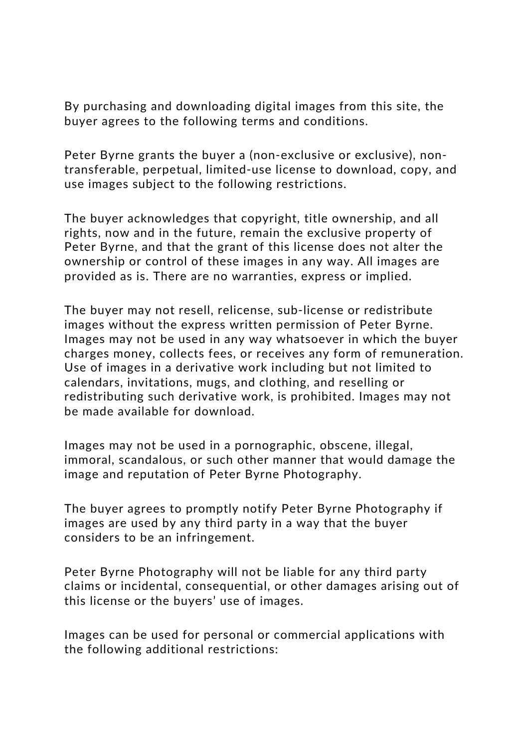By purchasing and downloading digital images from this site, the buyer agrees to the following terms and conditions.

Peter Byrne grants the buyer a (non-exclusive or exclusive), nontransferable, perpetual, limited-use license to download, copy, and use images subject to the following restrictions.

The buyer acknowledges that copyright, title ownership, and all rights, now and in the future, remain the exclusive property of Peter Byrne, and that the grant of this license does not alter the ownership or control of these images in any way. All images are provided as is. There are no warranties, express or implied.

The buyer may not resell, relicense, sub-license or redistribute images without the express written permission of Peter Byrne. Images may not be used in any way whatsoever in which the buyer charges money, collects fees, or receives any form of remuneration. Use of images in a derivative work including but not limited to calendars, invitations, mugs, and clothing, and reselling or redistributing such derivative work, is prohibited. Images may not be made available for download.

Images may not be used in a pornographic, obscene, illegal, immoral, scandalous, or such other manner that would damage the image and reputation of Peter Byrne Photography.

The buyer agrees to promptly notify Peter Byrne Photography if images are used by any third party in a way that the buyer considers to be an infringement.

Peter Byrne Photography will not be liable for any third party claims or incidental, consequential, or other damages arising out of this license or the buyers' use of images.

Images can be used for personal or commercial applications with the following additional restrictions: